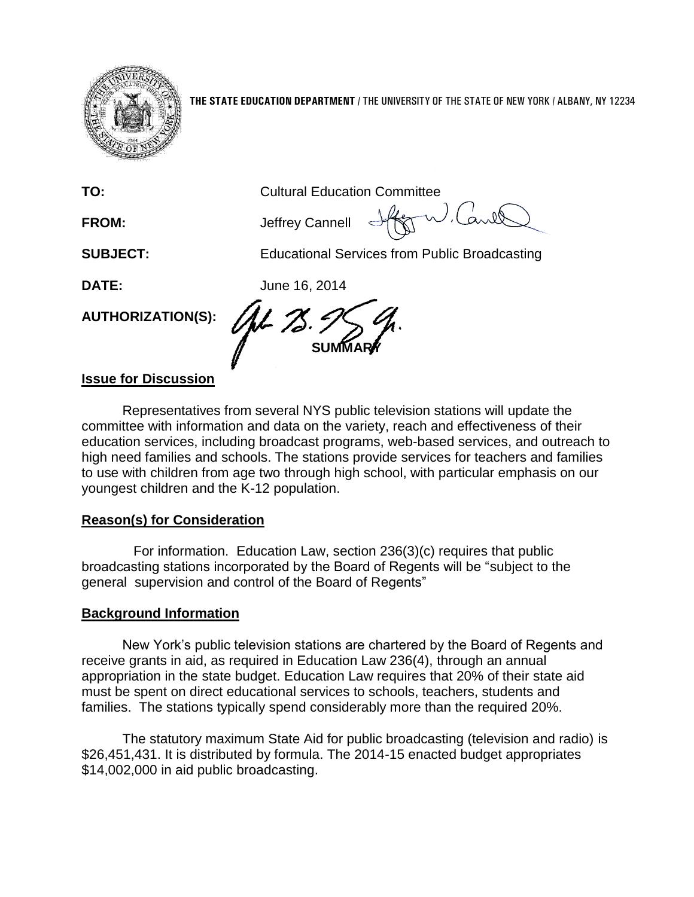

**THE STATE EDUCATION DEPARTMENT** / THE UNIVERSITY OF THE STATE OF NEW YORK / ALBANY, NY 12234

| TO:                         | <b>Cultural Education Committee</b>                  |
|-----------------------------|------------------------------------------------------|
| <b>FROM:</b>                | $H\ll$<br>Jeffrey Cannell                            |
| <b>SUBJECT:</b>             | <b>Educational Services from Public Broadcasting</b> |
| <b>DATE:</b>                | June 16, 2014                                        |
| <b>AUTHORIZATION(S):</b>    | <b>SU</b>                                            |
| <u>Iccup for Discussion</u> |                                                      |

## **Issue for Discussion**

Representatives from several NYS public television stations will update the committee with information and data on the variety, reach and effectiveness of their education services, including broadcast programs, web-based services, and outreach to high need families and schools. The stations provide services for teachers and families to use with children from age two through high school, with particular emphasis on our youngest children and the K-12 population.

## **Reason(s) for Consideration**

For information. Education Law, section 236(3)(c) requires that public broadcasting stations incorporated by the Board of Regents will be "subject to the general supervision and control of the Board of Regents"

## **Background Information**

New York's public television stations are chartered by the Board of Regents and receive grants in aid, as required in Education Law 236(4), through an annual appropriation in the state budget. Education Law requires that 20% of their state aid must be spent on direct educational services to schools, teachers, students and families. The stations typically spend considerably more than the required 20%.

The statutory maximum State Aid for public broadcasting (television and radio) is \$26,451,431. It is distributed by formula. The 2014-15 enacted budget appropriates \$14,002,000 in aid public broadcasting.